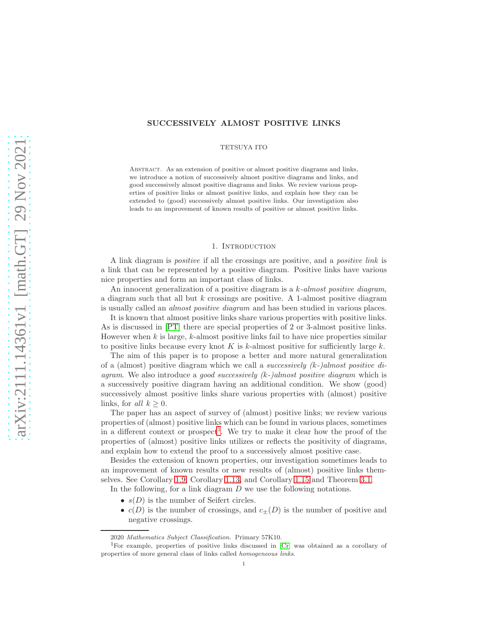## SUCCESSIVELY ALMOST POSITIVE LINKS

TETSUYA ITO

Abstract. As an extension of positive or almost positive diagrams and links, we introduce a notion of successively almost positive diagrams and links, and good successively almost positive diagrams and links. We review various properties of positive links or almost positive links, and explain how they can be extended to (good) successively almost positive links. Our investigation also leads to an improvement of known results of positive or almost positive links.

### 1. Introduction

A link diagram is positive if all the crossings are positive, and a positive link is a link that can be represented by a positive diagram. Positive links have various nice properties and form an important class of links.

An innocent generalization of a positive diagram is a  $k$ -almost positive diagram, a diagram such that all but  $k$  crossings are positive. A 1-almost positive diagram is usually called an almost positive diagram and has been studied in various places.

It is known that almost positive links share various properties with positive links. As is discussed in [\[PT\]](#page-19-0) there are special properties of 2 or 3-almost positive links. However when  $k$  is large,  $k$ -almost positive links fail to have nice properties similar to positive links because every knot  $K$  is k-almost positive for sufficiently large  $k$ .

The aim of this paper is to propose a better and more natural generalization of a (almost) positive diagram which we call a *successively*  $(k-)$ *almost positive di*agram. We also introduce a good successively  $(k-)$ almost positive diagram which is a successively positive diagram having an additional condition. We show (good) successively almost positive links share various properties with (almost) positive links, for all  $k \geq 0$ .

The paper has an aspect of survey of (almost) positive links; we review various properties of (almost) positive links which can be found in various places, sometimes in a different context or prospect<sup>[1](#page-0-0)</sup>. We try to make it clear how the proof of the properties of (almost) positive links utilizes or reflects the positivity of diagrams, and explain how to extend the proof to a successively almost positive case.

Besides the extension of known properties, our investigation sometimes leads to an improvement of known results or new results of (almost) positive links themselves. See Corollary [1.9,](#page-2-0) Corollary [1.13,](#page-3-0) and Corollary [1.15](#page-4-0) and Theorem [3.1.](#page-17-0)

In the following, for a link diagram D we use the following notations.

- $s(D)$  is the number of Seifert circles.
- $c(D)$  is the number of crossings, and  $c_{\pm}(D)$  is the number of positive and negative crossings.

<sup>2020</sup> Mathematics Subject Classification. Primary 57K10.

<span id="page-0-0"></span><sup>1</sup>For example, properties of positive links discussed in [\[Cr\]](#page-19-1) was obtained as a corollary of properties of more general class of links called homogeneous links.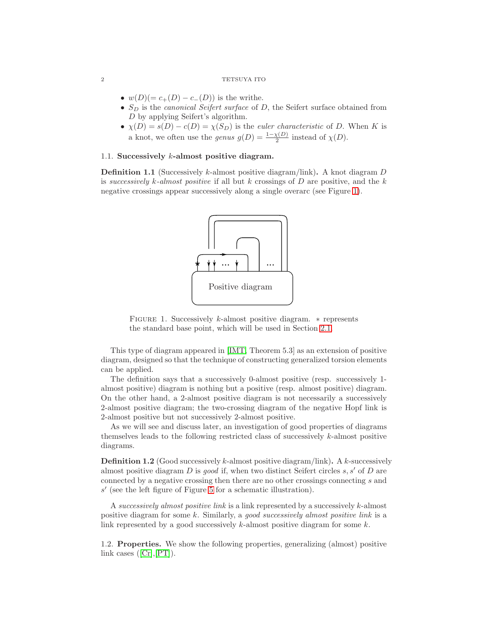- $w(D)(= c_{+}(D) c_{-}(D))$  is the writhe.
- $S_D$  is the *canonical Seifert surface* of  $D$ , the Seifert surface obtained from D by applying Seifert's algorithm.
- $\chi(D) = s(D) c(D) = \chi(S_D)$  is the *euler characteristic* of D. When K is a knot, we often use the *genus*  $g(D) = \frac{1-\chi(D)}{2}$  instead of  $\chi(D)$ .

## 1.1. Successively k-almost positive diagram.

**Definition 1.1** (Successively k-almost positive diagram/link). A knot diagram  $D$ is successively k-almost positive if all but k crossings of  $D$  are positive, and the k negative crossings appear successively along a single overarc (see Figure [1\)](#page-1-0).



<span id="page-1-0"></span>FIGURE 1. Successively k-almost positive diagram. \* represents the standard base point, which will be used in Section [2.1.](#page-4-1)

This type of diagram appeared in [\[IMT,](#page-19-2) Theorem 5.3] as an extension of positive diagram, designed so that the technique of constructing generalized torsion elements can be applied.

The definition says that a successively 0-almost positive (resp. successively 1 almost positive) diagram is nothing but a positive (resp. almost positive) diagram. On the other hand, a 2-almost positive diagram is not necessarily a successively 2-almost positive diagram; the two-crossing diagram of the negative Hopf link is 2-almost positive but not successively 2-almost positive.

As we will see and discuss later, an investigation of good properties of diagrams themselves leads to the following restricted class of successively  $k$ -almost positive diagrams.

**Definition 1.2** (Good successively k-almost positive diagram/link). A k-successively almost positive diagram D is good if, when two distinct Seifert circles s, s' of D are connected by a negative crossing then there are no other crossings connecting s and s ′ (see the left figure of Figure [5](#page-8-0) for a schematic illustration).

A successively almost positive link is a link represented by a successively k-almost positive diagram for some k. Similarly, a good successively almost positive link is a link represented by a good successively  $k$ -almost positive diagram for some  $k$ .

1.2. Properties. We show the following properties, generalizing (almost) positive linkcases  $([Cr], [PT])$  $([Cr], [PT])$  $([Cr], [PT])$  $([Cr], [PT])$  $([Cr], [PT])$ .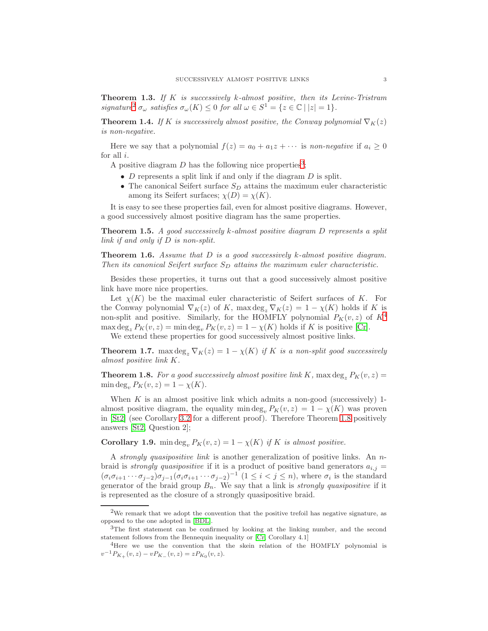<span id="page-2-5"></span>**Theorem 1.3.** If  $K$  is successively  $k$ -almost positive, then its Levine-Tristram signature<sup>[2](#page-2-1)</sup>  $\sigma_{\omega}$  satisfies  $\sigma_{\omega}(K) \leq 0$  for all  $\omega \in S^1 = \{z \in \mathbb{C} \mid |z| = 1\}.$ 

<span id="page-2-6"></span>**Theorem 1.4.** If K is successively almost positive, the Conway polynomial  $\nabla_K(z)$ is non-negative.

Here we say that a polynomial  $f(z) = a_0 + a_1 z + \cdots$  is non-negative if  $a_i \geq 0$ for all  $i$ .

A positive diagram  $D$  has the following nice properties<sup>[3](#page-2-2)</sup>;

- $D$  represents a split link if and only if the diagram  $D$  is split.
- The canonical Seifert surface  $S_D$  attains the maximum euler characteristic among its Seifert surfaces;  $\chi(D) = \chi(K)$ .

It is easy to see these properties fail, even for almost positive diagrams. However, a good successively almost positive diagram has the same properties.

<span id="page-2-8"></span>**Theorem 1.5.** A good successively k-almost positive diagram D represents a split link if and only if D is non-split.

<span id="page-2-7"></span>**Theorem 1.6.** Assume that  $D$  is a good successively  $k$ -almost positive diagram. Then its canonical Seifert surface  $S_D$  attains the maximum euler characteristic.

Besides these properties, it turns out that a good successively almost positive link have more nice properties.

Let  $\chi(K)$  be the maximal euler characteristic of Seifert surfaces of K. For the Conway polynomial  $\nabla_K(z)$  of K, max deg<sub>z</sub>  $\nabla_K(z) = 1 - \chi(K)$  holds if K is non-split and positive. Similarly, for the HOMFLY polynomial  $P_K(v, z)$  of  $K^4$  $K^4$  $\max \deg_z P_K(v, z) = \min \deg_v P_K(v, z) = 1 - \chi(K)$  holds if K is positive [\[Cr\]](#page-19-1). We extend these properties for good successively almost positive links.

<span id="page-2-9"></span>**Theorem 1.7.** max deg<sub>z</sub>  $\nabla_K(z) = 1 - \chi(K)$  if K is a non-split good successively almost positive link K.

<span id="page-2-4"></span>**Theorem 1.8.** For a good successively almost positive link K, max  $\deg_z P_K(v, z) =$ min deg<sub>v</sub>,  $P_K(v, z) = 1 - \chi(K)$ .

When  $K$  is an almost positive link which admits a non-good (successively) 1almost positive diagram, the equality min deg<sub>n</sub>  $P_K(v, z) = 1 - \chi(K)$  was proven in [\[St2\]](#page-20-0) (see Corollary [3.2](#page-17-1) for a different proof). Therefore Theorem [1.8](#page-2-4) positively answers [\[St2,](#page-20-0) Question 2];

<span id="page-2-0"></span>**Corollary 1.9.** min deg<sub>v</sub>  $P_K(v, z) = 1 - \chi(K)$  if K is almost positive.

A strongly quasipositive link is another generalization of positive links. An nbraid is *strongly quasipositive* if it is a product of positive band generators  $a_{i,j} =$  $(\sigma_i \sigma_{i+1} \cdots \sigma_{j-2}) \sigma_{j-1} (\sigma_i \sigma_{i+1} \cdots \sigma_{j-2})^{-1}$   $(1 \leq i < j \leq n)$ , where  $\sigma_i$  is the standard generator of the braid group  $B_n$ . We say that a link is *strongly quasipositive* if it is represented as the closure of a strongly quasipositive braid.

<span id="page-2-1"></span> $2$ We remark that we adopt the convention that the positive trefoil has negative signature, as opposed to the one adopted in [\[BDL\]](#page-19-3).

<span id="page-2-2"></span><sup>&</sup>lt;sup>3</sup>The first statement can be confirmed by looking at the linking number, and the second statement follows from the Bennequin inequality or [\[Cr,](#page-19-1) Corollary 4.1]

<span id="page-2-3"></span><sup>&</sup>lt;sup>4</sup>Here we use the convention that the skein relation of the HOMFLY polynomial is  $v^{-1}P_{K_+}(v, z) - vP_{K_-}(v, z) = zP_{K_0}(v, z).$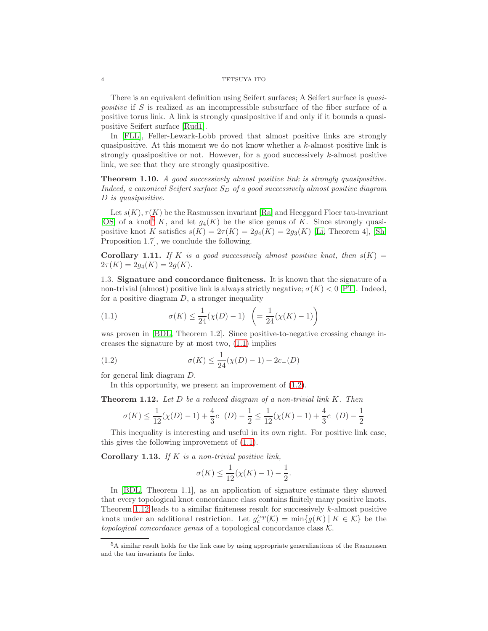There is an equivalent definition using Seifert surfaces; A Seifert surface is *quasi*positive if S is realized as an incompressible subsurface of the fiber surface of a positive torus link. A link is strongly quasipositive if and only if it bounds a quasipositive Seifert surface [\[Rud1\]](#page-19-4).

In [\[FLL\]](#page-19-5), Feller-Lewark-Lobb proved that almost positive links are strongly quasipositive. At this moment we do not know whether a k-almost positive link is strongly quasipositive or not. However, for a good successively k-almost positive link, we see that they are strongly quasipositive.

<span id="page-3-5"></span>Theorem 1.10. A good successively almost positive link is strongly quasipositive. Indeed, a canonical Seifert surface  $S_D$  of a good successively almost positive diagram D is quasipositive.

Let  $s(K)$ ,  $\tau(K)$  be the Rasmussen invariant [\[Ra\]](#page-19-6) and Heeggard Floer tau-invariant [\[OS\]](#page-19-7) of a knot<sup>[5](#page-3-1)</sup> K, and let  $g_4(K)$  be the slice genus of K. Since strongly quasipositive knot K satisfies  $s(K) = 2\tau(K) = 2g_4(K) = 2g_3(K)$  [\[Li,](#page-19-8) Theorem 4], [\[Sh,](#page-20-1) Proposition 1.7], we conclude the following.

**Corollary 1.11.** If K is a good successively almost positive knot, then  $s(K)$  =  $2\tau(K) = 2g_4(K) = 2g(K).$ 

1.3. Signature and concordance finiteness. It is known that the signature of a non-trivial (almost) positive link is always strictly negative;  $\sigma(K) < 0$  [\[PT\]](#page-19-0). Indeed, for a positive diagram  $D$ , a stronger inequality

<span id="page-3-2"></span>(1.1) 
$$
\sigma(K) \le \frac{1}{24}(\chi(D) - 1) \left( = \frac{1}{24}(\chi(K) - 1) \right)
$$

was proven in [\[BDL,](#page-19-3) Theorem 1.2]. Since positive-to-negative crossing change increases the signature by at most two, [\(1.1\)](#page-3-2) implies

(1.2) 
$$
\sigma(K) \le \frac{1}{24}(\chi(D) - 1) + 2c_-(D)
$$

for general link diagram D.

In this opportunity, we present an improvement of [\(1.2\)](#page-3-3).

<span id="page-3-4"></span>**Theorem 1.12.** Let  $D$  be a reduced diagram of a non-trivial link  $K$ . Then

<span id="page-3-3"></span>
$$
\sigma(K) \le \frac{1}{12}(\chi(D)-1) + \frac{4}{3}c_-(D) - \frac{1}{2} \le \frac{1}{12}(\chi(K)-1) + \frac{4}{3}c_-(D) - \frac{1}{2}
$$

This inequality is interesting and useful in its own right. For positive link case, this gives the following improvement of [\(1.1\)](#page-3-2).

<span id="page-3-0"></span>Corollary 1.13. If  $K$  is a non-trivial positive link,

$$
\sigma(K) \le \frac{1}{12}(\chi(K) - 1) - \frac{1}{2}.
$$

In [\[BDL,](#page-19-3) Theorem 1.1], as an application of signature estimate they showed that every topological knot concordance class contains finitely many positive knots. Theorem [1.12](#page-3-4) leads to a similar finiteness result for successively  $k$ -almost positive knots under an additional restriction. Let  $g_c^{top}(\mathcal{K}) = \min\{g(K) | K \in \mathcal{K}\}\)$  be the topological concordance genus of a topological concordance class  $K$ .

<span id="page-3-1"></span><sup>5</sup>A similar result holds for the link case by using appropriate generalizations of the Rasmussen and the tau invariants for links.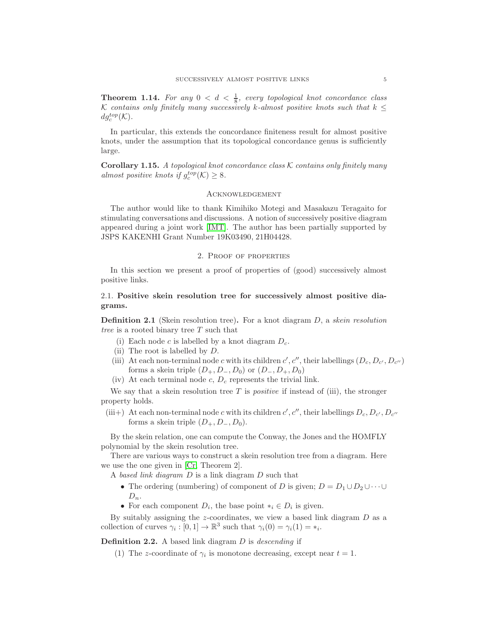<span id="page-4-2"></span>**Theorem 1.14.** For any  $0 < d < \frac{1}{8}$ , every topological knot concordance class K contains only finitely many successively k-almost positive knots such that  $k \leq$  $dg_c^{top}(\mathcal{K})$ .

In particular, this extends the concordance finiteness result for almost positive knots, under the assumption that its topological concordance genus is sufficiently large.

<span id="page-4-0"></span>Corollary 1.15. A topological knot concordance class  $K$  contains only finitely many almost positive knots if  $g_c^{top}(\mathcal{K}) \geq 8$ .

## **ACKNOWLEDGEMENT**

The author would like to thank Kimihiko Motegi and Masakazu Teragaito for stimulating conversations and discussions. A notion of successively positive diagram appeared during a joint work [\[IMT\]](#page-19-2). The author has been partially supported by JSPS KAKENHI Grant Number 19K03490, 21H04428.

### 2. Proof of properties

In this section we present a proof of properties of (good) successively almost positive links.

# <span id="page-4-1"></span>2.1. Positive skein resolution tree for successively almost positive diagrams.

**Definition 2.1** (Skein resolution tree). For a knot diagram  $D$ , a *skein resolution* tree is a rooted binary tree T such that

- (i) Each node c is labelled by a knot diagram  $D_c$ .
- (ii) The root is labelled by  $D$ .
- (iii) At each non-terminal node c with its children  $c', c''$ , their labellings  $(D_c, D_{c'}, D_{c''})$ forms a skein triple  $(D_+, D_-, D_0)$  or  $(D_-, D_+, D_0)$
- (iv) At each terminal node c,  $D_c$  represents the trivial link.

We say that a skein resolution tree T is *positive* if instead of (iii), the stronger property holds.

(iii+) At each non-terminal node c with its children  $c', c'',$  their labellings  $D_c, D_{c'}, D_{c''}$ forms a skein triple  $(D_+, D_-, D_0)$ .

By the skein relation, one can compute the Conway, the Jones and the HOMFLY polynomial by the skein resolution tree.

There are various ways to construct a skein resolution tree from a diagram. Here we use the one given in [\[Cr,](#page-19-1) Theorem 2].

A based link diagram D is a link diagram D such that

- The ordering (numbering) of component of D is given;  $D = D_1 \cup D_2 \cup \cdots \cup$  $D_n$ .
- For each component  $D_i$ , the base point  $*_i \in D_i$  is given.

By suitably assigning the  $z$ -coordinates, we view a based link diagram  $D$  as a collection of curves  $\gamma_i : [0,1] \to \mathbb{R}^3$  such that  $\gamma_i(0) = \gamma_i(1) = *_i$ .

**Definition 2.2.** A based link diagram  $D$  is descending if

(1) The z-coordinate of  $\gamma_i$  is monotone decreasing, except near  $t = 1$ .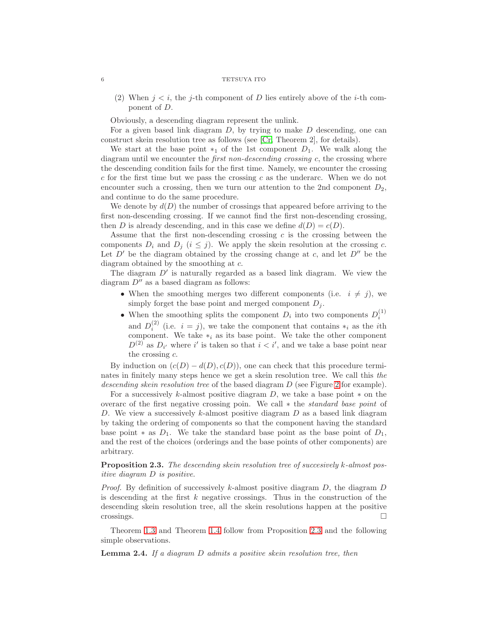(2) When  $j < i$ , the j-th component of D lies entirely above of the i-th component of D.

Obviously, a descending diagram represent the unlink.

For a given based link diagram  $D$ , by trying to make  $D$  descending, one can construct skein resolution tree as follows (see [\[Cr,](#page-19-1) Theorem 2], for details).

We start at the base point  $*_1$  of the 1st component  $D_1$ . We walk along the diagram until we encounter the *first non-descending crossing c*, the crossing where the descending condition fails for the first time. Namely, we encounter the crossing  $c$  for the first time but we pass the crossing  $c$  as the underarc. When we do not encounter such a crossing, then we turn our attention to the 2nd component  $D_2$ , and continue to do the same procedure.

We denote by  $d(D)$  the number of crossings that appeared before arriving to the first non-descending crossing. If we cannot find the first non-descending crossing, then D is already descending, and in this case we define  $d(D) = c(D)$ .

Assume that the first non-descending crossing  $c$  is the crossing between the components  $D_i$  and  $D_j$   $(i \leq j)$ . We apply the skein resolution at the crossing c. Let  $D'$  be the diagram obtained by the crossing change at c, and let  $D''$  be the diagram obtained by the smoothing at c.

The diagram  $D'$  is naturally regarded as a based link diagram. We view the diagram  $D''$  as a based diagram as follows:

- When the smoothing merges two different components (i.e.  $i \neq j$ ), we simply forget the base point and merged component  $D_j$ .
- When the smoothing splits the component  $D_i$  into two components  $D_i^{(1)}$ and  $D_i^{(2)}$  (i.e.  $i = j$ ), we take the component that contains  $*_i$  as the *i*th component. We take  $*_i$  as its base point. We take the other component  $D^{(2)}$  as  $D_{i'}$  where i' is taken so that  $i < i'$ , and we take a base point near the crossing  $c$ .

By induction on  $(c(D) - d(D), c(D))$ , one can check that this procedure terminates in finitely many steps hence we get a skein resolution tree. We call this the descending skein resolution tree of the based diagram  $D$  (see Figure [2](#page-6-0) for example).

For a successively k-almost positive diagram  $D$ , we take a base point  $*$  on the overarc of the first negative crossing poin. We call ∗ the standard base point of D. We view a successively k-almost positive diagram  $D$  as a based link diagram by taking the ordering of components so that the component having the standard base point  $*$  as  $D_1$ . We take the standard base point as the base point of  $D_1$ , and the rest of the choices (orderings and the base points of other components) are arbitrary.

# <span id="page-5-0"></span>Proposition 2.3. The descending skein resolution tree of succesively k-almost positive diagram D is positive.

*Proof.* By definition of successively k-almost positive diagram  $D$ , the diagram  $D$ is descending at the first  $k$  negative crossings. Thus in the construction of the descending skein resolution tree, all the skein resolutions happen at the positive  $\Box$ crossings.

Theorem [1.3](#page-2-5) and Theorem [1.4](#page-2-6) follow from Proposition [2.3](#page-5-0) and the following simple observations.

**Lemma 2.4.** If a diagram  $D$  admits a positive skein resolution tree, then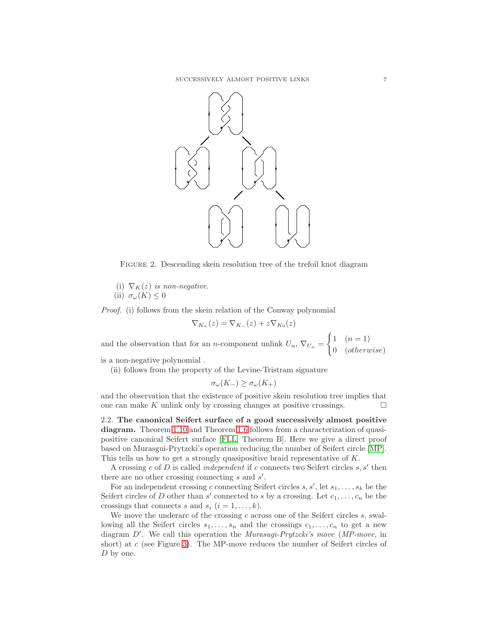

<span id="page-6-0"></span>FIGURE 2. Descending skein resolution tree of the trefoil knot diagram

- (i)  $\nabla_K(z)$  is non-negative.
- (ii)  $\sigma_{\omega}(K) \leq 0$

Proof. (i) follows from the skein relation of the Conway polynomial

$$
\nabla_{K_+}(z) = \nabla_{K_-}(z) + z \nabla_{K_0}(z)
$$

and the observation that for an n-component unlink  $U_n$ ,  $\nabla_{U_n}$  =  $\int 1 \quad (n=1)$ 0 (otherwise)

is a non-negative polynomial .

(ii) follows from the property of the Levine-Tristram signature

$$
\sigma_{\omega}(K_{-}) \geq \sigma_{\omega}(K_{+})
$$

and the observation that the existence of positive skein resolution tree implies that one can make K unlink only by crossing changes at positive crossings.  $\Box$ 

2.2. The canonical Seifert surface of a good successively almost positive diagram. Theorem [1.10](#page-3-5) and Theorem [1.6](#page-2-7) follows from a characterization of quasipositive canonical Seifert surface [\[FLL,](#page-19-5) Theorem B]. Here we give a direct proof based on Murasgui-Prytzcki's operation reducing the number of Seifert circle [\[MP\]](#page-19-9). This tells us how to get a strongly quasipositive braid representative of K.

A crossing  $c$  of  $D$  is called *independent* if  $c$  connects two Seifert circles  $s, s'$  then there are no other crossing connecting  $s$  and  $s'$ .

For an independent crossing c connecting Seifert circles  $s, s'$ , let  $s_1, \ldots, s_k$  be the Seifert circles of D other than  $s'$  connected to s by a crossing. Let  $c_1, \ldots, c_n$  be the crossings that connects s and  $s_i$   $(i = 1, \ldots, k)$ .

We move the underarc of the crossing  $c$  across one of the Seifert circles  $s$ , swallowing all the Seifert circles  $s_1, \ldots, s_n$  and the crossings  $c_1, \ldots, c_n$  to get a new diagram D'. We call this operation the Murasugi-Prytzcki's move (MP-move, in short) at c (see Figure [3\)](#page-7-0). The MP-move reduces the number of Seifert circles of D by one.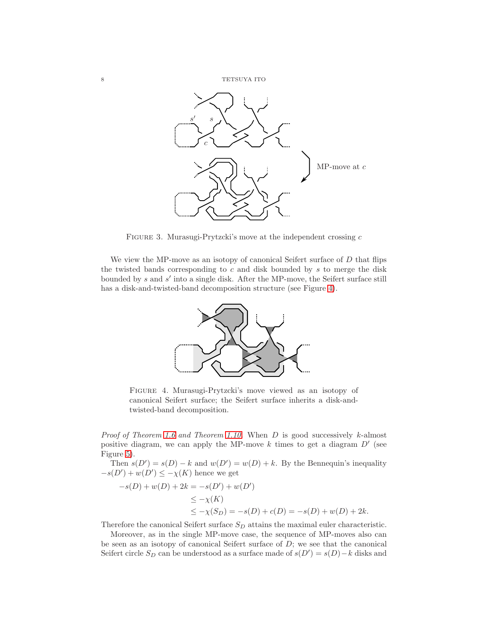

<span id="page-7-0"></span>FIGURE 3. Murasugi-Prytzcki's move at the independent crossing  $c$ 

We view the MP-move as an isotopy of canonical Seifert surface of  $D$  that flips the twisted bands corresponding to  $c$  and disk bounded by  $s$  to merge the disk bounded by s and s' into a single disk. After the MP-move, the Seifert surface still has a disk-and-twisted-band decomposition structure (see Figure [4\)](#page-7-1).



<span id="page-7-1"></span>Figure 4. Murasugi-Prytzcki's move viewed as an isotopy of canonical Seifert surface; the Seifert surface inherits a disk-andtwisted-band decomposition.

*Proof of Theorem [1.6](#page-2-7) and Theorem [1.10.](#page-3-5)* When D is good successively k-almost positive diagram, we can apply the MP-move  $k$  times to get a diagram  $D'$  (see Figure [5\)](#page-8-0).

Then  $s(D') = s(D) - k$  and  $w(D') = w(D) + k$ . By the Bennequin's inequality  $-s(D') + w(D') \leq -\chi(K)$  hence we get

$$
-s(D) + w(D) + 2k = -s(D') + w(D')
$$
  
\n
$$
\leq -\chi(K)
$$
  
\n
$$
\leq -\chi(S_D) = -s(D) + c(D) = -s(D) + w(D) + 2k.
$$

Therefore the canonical Seifert surface  $S_D$  attains the maximal euler characteristic.

Moreover, as in the single MP-move case, the sequence of MP-moves also can be seen as an isotopy of canonical Seifert surface of  $D$ ; we see that the canonical Seifert circle  $S_D$  can be understood as a surface made of  $s(D') = s(D) - k$  disks and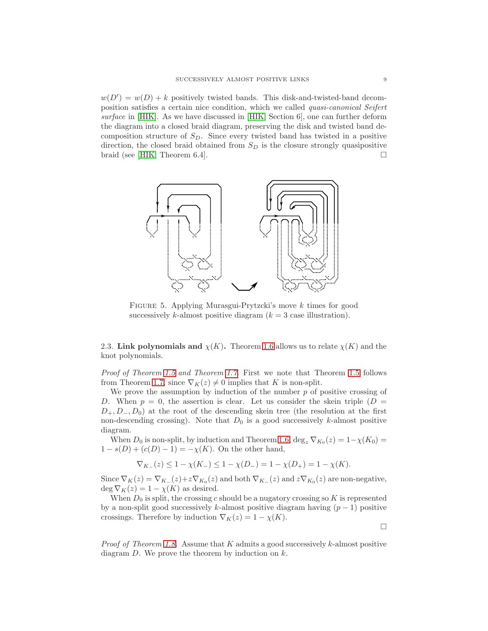$w(D') = w(D) + k$  positively twisted bands. This disk-and-twisted-band decomposition satisfies a certain nice condition, which we called quasi-canonical Seifert surface in [\[HIK\]](#page-19-10). As we have discussed in [\[HIK,](#page-19-10) Section 6], one can further deform the diagram into a closed braid diagram, preserving the disk and twisted band decomposition structure of  $S<sub>D</sub>$ . Since every twisted band has twisted in a positive direction, the closed braid obtained from  $S_D$  is the closure strongly quasipositive braid (see HIK, Theorem 6.4).



<span id="page-8-0"></span>Figure 5. Applying Murasgui-Prytzcki's move k times for good successively k-almost positive diagram  $(k = 3$  case illustration).

2.3. Link polynomials and  $\chi(K)$ . Theorem [1.6](#page-2-7) allows us to relate  $\chi(K)$  and the knot polynomials.

Proof of Theorem [1.5](#page-2-8) and Theorem [1.7.](#page-2-9) First we note that Theorem 1.5 follows from Theorem [1.7,](#page-2-9) since  $\nabla_K(z) \neq 0$  implies that K is non-split.

We prove the assumption by induction of the number  $p$  of positive crossing of D. When  $p = 0$ , the assertion is clear. Let us consider the skein triple  $(D =$  $D_+, D_-, D_0$ ) at the root of the descending skein tree (the resolution at the first non-descending crossing). Note that  $D_0$  is a good successively k-almost positive diagram.

When  $D_0$  is non-split, by induction and Theorem [1.6,](#page-2-7)  $\deg_z \nabla_{K_0}(z) = 1 - \chi(K_0) =$  $1 - s(D) + (c(D) - 1) = -\chi(K)$ . On the other hand,

$$
\nabla_{K_{-}}(z) \leq 1 - \chi(K_{-}) \leq 1 - \chi(D_{-}) = 1 - \chi(D_{+}) = 1 - \chi(K).
$$

Since  $\nabla_K(z) = \nabla_{K_{-}}(z) + z \nabla_{K_0}(z)$  and both  $\nabla_{K_{-}}(z)$  and  $z \nabla_{K_0}(z)$  are non-negative, deg  $\nabla_K(z) = 1 - \chi(K)$  as desired.

When  $D_0$  is split, the crossing c should be a nugatory crossing so K is represented by a non-split good successively k-almost positive diagram having  $(p-1)$  positive crossings. Therefore by induction  $\nabla_K(z) = 1 - \chi(K)$ .

*Proof of Theorem [1.8.](#page-2-4)* Assume that K admits a good successively k-almost positive diagram  $D$ . We prove the theorem by induction on  $k$ .

 $\Box$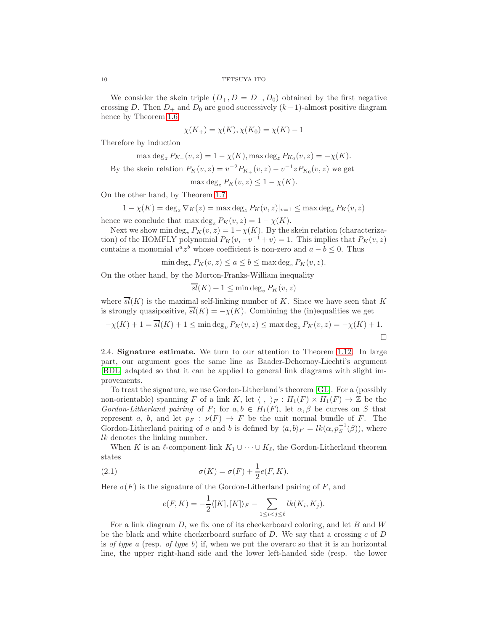We consider the skein triple  $(D_+, D = D_-, D_0)$  obtained by the first negative crossing D. Then  $D_+$  and  $D_0$  are good successively  $(k-1)$ -almost positive diagram hence by Theorem [1.6](#page-2-7)

$$
\chi(K_{+}) = \chi(K), \chi(K_{0}) = \chi(K) - 1
$$

Therefore by induction

$$
\max \deg_z P_{K_+}(v, z) = 1 - \chi(K), \max \deg_z P_{K_0}(v, z) = -\chi(K).
$$
  
the design relation  $P_{\{v, z\}} = v^{-2} P_{\{v, z\}}(v, z) = v^{-1} z P_{\{v, z\}}(v, z)$  we get

By the skein relation  $P_K(v, z) = v^{-2} P_{K_+}(v, z) - v^{-1} z P_{K_0}(v, z)$  we get

$$
\max \deg_z P_K(v, z) \le 1 - \chi(K).
$$

On the other hand, by Theorem [1.7](#page-2-9)

$$
1 - \chi(K) = \deg_z \nabla_K(z) = \max \deg_z P_K(v, z)|_{v=1} \le \max \deg_z P_K(v, z)
$$

hence we conclude that  $\max \deg_z P_K(v, z) = 1 - \chi(K)$ .

Next we show min deg<sub>v</sub>  $P_K(v, z) = 1 - \chi(K)$ . By the skein relation (characterization) of the HOMFLY polynomial  $P_K(v, -v^{-1} + v) = 1$ . This implies that  $P_K(v, z)$ contains a monomial  $v^a z^b$  whose coefficient is non-zero and  $a - b \leq 0$ . Thus

$$
\min \deg_v P_K(v, z) \le a \le b \le \max \deg_z P_K(v, z).
$$

On the other hand, by the Morton-Franks-William inequality

$$
\overline{sl}(K) + 1 \le \min \deg_v P_K(v, z)
$$

where  $\overline{sl}(K)$  is the maximal self-linking number of K. Since we have seen that K is strongly quasipositive,  $\overline{sl}(K) = -\chi(K)$ . Combining the (in)equalities we get

$$
-\chi(K) + 1 = \overline{sl}(K) + 1 \le \min \deg_v P_K(v, z) \le \max \deg_z P_K(v, z) = -\chi(K) + 1.
$$

2.4. Signature estimate. We turn to our attention to Theorem [1.12.](#page-3-4) In large part, our argument goes the same line as Baader-Dehornoy-Liechti's argument [\[BDL\]](#page-19-3) adapted so that it can be applied to general link diagrams with slight improvements.

To treat the signature, we use Gordon-Litherland's theorem [\[GL\]](#page-19-11). For a (possibly non-orientable) spanning F of a link K, let  $\langle , \rangle_F : H_1(F) \times H_1(F) \to \mathbb{Z}$  be the Gordon-Litherland pairing of F; for  $a, b \in H_1(F)$ , let  $\alpha, \beta$  be curves on S that represent a, b, and let  $p_F : \nu(F) \to F$  be the unit normal bundle of F. The Gordon-Litherland pairing of a and b is defined by  $\langle a, b \rangle_F = lk(\alpha, p_S^{-1}(\beta))$ , where lk denotes the linking number.

When K is an  $\ell$ -component link  $K_1 \cup \cdots \cup K_{\ell}$ , the Gordon-Litherland theorem states

(2.1) 
$$
\sigma(K) = \sigma(F) + \frac{1}{2}e(F,K).
$$

Here  $\sigma(F)$  is the signature of the Gordon-Litherland pairing of F, and

<span id="page-9-0"></span>
$$
e(F,K) = -\frac{1}{2}\langle [K], [K]\rangle_F - \sum_{1 \le i < j \le \ell} lk(K_i, K_j).
$$

For a link diagram  $D$ , we fix one of its checkerboard coloring, and let  $B$  and  $W$ be the black and white checkerboard surface of  $D$ . We say that a crossing  $c$  of  $D$ is of type a (resp. of type b) if, when we put the overarc so that it is an horizontal line, the upper right-hand side and the lower left-handed side (resp. the lower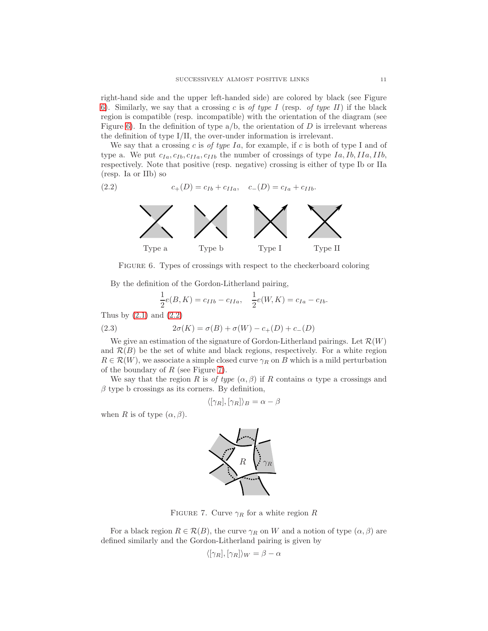right-hand side and the upper left-handed side) are colored by black (see Figure [6\)](#page-10-0). Similarly, we say that a crossing c is of type I (resp. of type II) if the black region is compatible (resp. incompatible) with the orientation of the diagram (see Figure [6\)](#page-10-0). In the definition of type  $a/b$ , the orientation of D is irrelevant whereas the definition of type I/II, the over-under information is irrelevant.

We say that a crossing c is of type Ia, for example, if c is both of type I and of type a. We put  $c_{Ia}, c_{Ib}, c_{IIa}, c_{IIb}$  the number of crossings of type  $Ia, Ib, IIa, IIb$ , respectively. Note that positive (resp. negative) crossing is either of type Ib or IIa (resp. Ia or IIb) so

(2.2) 
$$
c_{+}(D) = c_{Ib} + c_{IIa}, \quad c_{-}(D) = c_{Ia} + c_{IIb}.
$$

<span id="page-10-1"></span>

FIGURE 6. Types of crossings with respect to the checkerboard coloring

By the definition of the Gordon-Litherland pairing,

<span id="page-10-3"></span><span id="page-10-0"></span>
$$
\frac{1}{2}e(B,K) = c_{IIb} - c_{IIa}, \quad \frac{1}{2}e(W,K) = c_{Ia} - c_{Ib}.
$$

Thus by  $(2.1)$  and  $(2.2)$ 

(2.3) 
$$
2\sigma(K) = \sigma(B) + \sigma(W) - c_+(D) + c_-(D)
$$

We give an estimation of the signature of Gordon-Litherland pairings. Let  $\mathcal{R}(W)$ and  $\mathcal{R}(B)$  be the set of white and black regions, respectively. For a white region  $R \in \mathcal{R}(W)$ , we associate a simple closed curve  $\gamma_R$  on B which is a mild perturbation of the boundary of  $R$  (see Figure [7\)](#page-10-2).

We say that the region R is of type  $(\alpha, \beta)$  if R contains  $\alpha$  type a crossings and  $\beta$  type b crossings as its corners. By definition,

$$
\langle [\gamma_R], [\gamma_R] \rangle_B = \alpha - \beta
$$

when R is of type  $(\alpha, \beta)$ .



FIGURE 7. Curve  $\gamma_R$  for a white region R

For a black region  $R \in \mathcal{R}(B)$ , the curve  $\gamma_R$  on W and a notion of type  $(\alpha, \beta)$  are defined similarly and the Gordon-Litherland pairing is given by

<span id="page-10-2"></span>
$$
\langle [\gamma_R], [\gamma_R] \rangle_W = \beta - \alpha
$$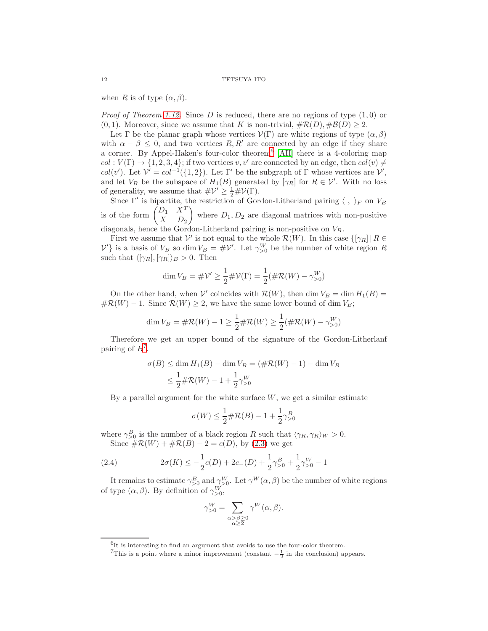when R is of type  $(\alpha, \beta)$ .

*Proof of Theorem [1.12.](#page-3-4)* Since D is reduced, there are no regions of type  $(1, 0)$  or  $(0, 1)$ . Moreover, since we assume that K is non-trivial,  $\#\mathcal{R}(D), \#\mathcal{B}(D) \geq 2$ .

Let  $\Gamma$  be the planar graph whose vertices  $\mathcal{V}(\Gamma)$  are white regions of type  $(\alpha, \beta)$ with  $\alpha - \beta \leq 0$ , and two vertices R, R' are connected by an edge if they share a corner. By Appel-Haken's four-color theorem[6](#page-11-0) [\[AH\]](#page-19-12) there is a 4-coloring map  $col: V(\Gamma) \to \{1, 2, 3, 4\}$ ; if two vertices v, v' are connected by an edge, then  $col(v) \neq$ col(v'). Let  $\mathcal{V}' = col^{-1}(\{1,2\})$ . Let  $\Gamma'$  be the subgraph of  $\Gamma$  whose vertices are  $\mathcal{V}'$ , and let  $V_B$  be the subspace of  $H_1(B)$  generated by  $[\gamma_R]$  for  $R \in \mathcal{V}'$ . With no loss of generality, we assume that  $\#\mathcal{V}' \geq \frac{1}{2}\#\mathcal{V}(\Gamma)$ .

Since  $\Gamma'$  is bipartite, the restriction of Gordon-Litherland pairing  $\langle , \rangle_F$  on  $V_B$ is of the form  $\begin{pmatrix} D_1 & X^T \\ Y & D \end{pmatrix}$  $X$   $D_2$ where  $D_1, D_2$  are diagonal matrices with non-positive diagonals, hence the Gordon-Litherland pairing is non-positive on  $V_B$ .

First we assume that  $V'$  is not equal to the whole  $\mathcal{R}(W)$ . In this case  $\{[\gamma_R] | R \in$  $V'$ } is a basis of  $V_B$  so dim  $V_B = #V'$ . Let  $\gamma_{>0}^W$  be the number of white region R such that  $\langle [\gamma_R], [\gamma_R] \rangle_B > 0$ . Then

$$
\dim V_B = \# \mathcal{V}' \ge \frac{1}{2} \# \mathcal{V}(\Gamma) = \frac{1}{2} (\# \mathcal{R}(W) - \gamma_{>0}^W)
$$

On the other hand, when  $V'$  coincides with  $\mathcal{R}(W)$ , then dim  $V_B = \dim H_1(B) =$  $\#\mathcal{R}(W) - 1$ . Since  $\mathcal{R}(W) \geq 2$ , we have the same lower bound of dim  $V_B$ ;

$$
\dim V_B = \# \mathcal{R}(W) - 1 \ge \frac{1}{2} \# \mathcal{R}(W) \ge \frac{1}{2} (\# \mathcal{R}(W) - \gamma_{>0}^W)
$$

Therefore we get an upper bound of the signature of the Gordon-Litherlanf pairing of  $B^7$  $B^7$ .

$$
\sigma(B) \le \dim H_1(B) - \dim V_B = (\#\mathcal{R}(W) - 1) - \dim V_B
$$
  

$$
\le \frac{1}{2} \#\mathcal{R}(W) - 1 + \frac{1}{2} \gamma_{>0}^W
$$

By a parallel argument for the white surface  $W$ , we get a similar estimate

<span id="page-11-2"></span>
$$
\sigma(W) \le \frac{1}{2} \# \mathcal{R}(B) - 1 + \frac{1}{2} \gamma_{>0}^{B}
$$

where  $\gamma_{>0}^B$  is the number of a black region R such that  $\langle \gamma_R, \gamma_R \rangle_W > 0$ . Since  $\#\mathcal{R}(W) + \#\mathcal{R}(B) - 2 = c(D)$ , by [\(2.3\)](#page-10-3) we get

(2.4) 
$$
2\sigma(K) \leq -\frac{1}{2}c(D) + 2c_{-}(D) + \frac{1}{2}\gamma_{>0}^{B} + \frac{1}{2}\gamma_{>0}^{W} - 1
$$

It remains to estimate  $\gamma_{>0}^B$  and  $\gamma_{>0}^W$ . Let  $\gamma^W(\alpha, \beta)$  be the number of white regions of type  $(\alpha, \beta)$ . By definition of  $\gamma_{>0}^W$ ,

$$
\gamma_{>0}^W = \sum_{\substack{\alpha > \beta \geq 0 \\ \alpha \geq 2}} \gamma^W(\alpha, \beta).
$$

<sup>&</sup>lt;sup>6</sup>It is interesting to find an argument that avoids to use the four-color theorem.

<span id="page-11-1"></span><span id="page-11-0"></span><sup>&</sup>lt;sup>7</sup>This is a point where a minor improvement (constant  $-\frac{1}{2}$  in the conclusion) appears.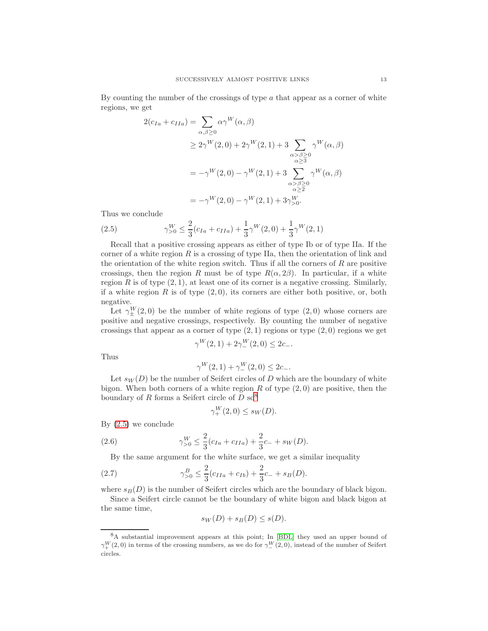By counting the number of the crossings of type  $\alpha$  that appear as a corner of white regions, we get

$$
2(c_{Ia} + c_{IIa}) = \sum_{\alpha,\beta \ge 0} \alpha \gamma^W(\alpha, \beta)
$$
  
\n
$$
\ge 2\gamma^W(2, 0) + 2\gamma^W(2, 1) + 3 \sum_{\substack{\alpha > \beta \ge 0 \\ \alpha \ge 3}} \gamma^W(\alpha, \beta)
$$
  
\n
$$
= -\gamma^W(2, 0) - \gamma^W(2, 1) + 3 \sum_{\substack{\alpha > \beta \ge 0 \\ \alpha \ge 2}} \gamma^W(\alpha, \beta)
$$
  
\n
$$
= -\gamma^W(2, 0) - \gamma^W(2, 1) + 3\gamma^W_{\ge 0}.
$$

Thus we conclude

<span id="page-12-1"></span>(2.5) 
$$
\gamma_{>0}^W \le \frac{2}{3}(c_{Ia} + c_{IIa}) + \frac{1}{3}\gamma^W(2,0) + \frac{1}{3}\gamma^W(2,1)
$$

Recall that a positive crossing appears as either of type Ib or of type IIa. If the corner of a white region  $R$  is a crossing of type IIa, then the orientation of link and the orientation of the white region switch. Thus if all the corners of  $R$  are positive crossings, then the region R must be of type  $R(\alpha, 2\beta)$ . In particular, if a white region R is of type  $(2, 1)$ , at least one of its corner is a negative crossing. Similarly, if a white region R is of type  $(2, 0)$ , its corners are either both positive, or, both negative.

Let  $\gamma_{\pm}^{W}(2,0)$  be the number of white regions of type  $(2,0)$  whose corners are positive and negative crossings, respectively. By counting the number of negative crossings that appear as a corner of type  $(2, 1)$  regions or type  $(2, 0)$  regions we get

$$
\gamma^{W}(2,1) + 2\gamma_{-}^{W}(2,0) \le 2c_{-}.
$$

Thus

$$
\gamma^W(2,1) + \gamma^W_-(2,0) \le 2c_-.
$$

Let  $s_W(D)$  be the number of Seifert circles of D which are the boundary of white bigon. When both corners of a white region R of type  $(2,0)$  are positive, then the boundary of R forms a Seifert circle of  $D$  so<sup>[8](#page-12-0)</sup>

<span id="page-12-2"></span>
$$
\gamma_+^W(2,0) \le s_W(D).
$$

By [\(2.5\)](#page-12-1) we conclude

(2.6) 
$$
\gamma_{>0}^W \le \frac{2}{3}(c_{Ia} + c_{IIa}) + \frac{2}{3}c_- + s_W(D).
$$

By the same argument for the white surface, we get a similar inequality

(2.7) 
$$
\gamma_{>0}^{B} \leq \frac{2}{3}(c_{IIa} + c_{Ib}) + \frac{2}{3}c_{-} + s_{B}(D).
$$

where  $s_B(D)$  is the number of Seifert circles which are the boundary of black bigon.

Since a Seifert circle cannot be the boundary of white bigon and black bigon at the same time,

<span id="page-12-3"></span>
$$
s_W(D) + s_B(D) \le s(D).
$$

<span id="page-12-0"></span><sup>8</sup>A substantial improvement appears at this point; In [\[BDL\]](#page-19-3) they used an upper bound of  $\gamma_{+}^{W}(2,0)$  in terms of the crossing numbers, as we do for  $\gamma_{-}^{W}(2,0)$ , instead of the number of Seifert circles.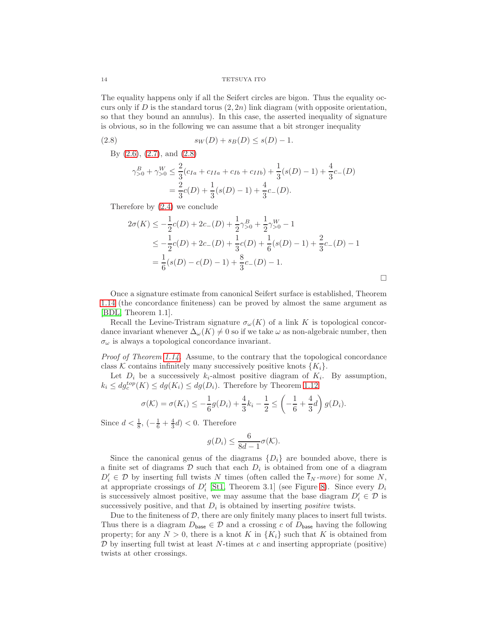The equality happens only if all the Seifert circles are bigon. Thus the equality occurs only if D is the standard torus  $(2, 2n)$  link diagram (with opposite orientation, so that they bound an annulus). In this case, the asserted inequality of signature is obvious, so in the following we can assume that a bit stronger inequality

(2.8) 
$$
s_W(D) + s_B(D) \le s(D) - 1.
$$

By [\(2.6\)](#page-12-2), [\(2.7\)](#page-12-3), and [\(2.8\)](#page-13-0)

<span id="page-13-0"></span>
$$
\gamma_{>0}^{B} + \gamma_{>0}^{W} \le \frac{2}{3}(c_{Ia} + c_{IIa} + c_{Ib} + c_{IIb}) + \frac{1}{3}(s(D) - 1) + \frac{4}{3}c_{-}(D)
$$
  
=  $\frac{2}{3}c(D) + \frac{1}{3}(s(D) - 1) + \frac{4}{3}c_{-}(D).$ 

Therefore by [\(2.4\)](#page-11-2) we conclude

$$
2\sigma(K) \le -\frac{1}{2}c(D) + 2c_{-}(D) + \frac{1}{2}\gamma_{>0}^{B} + \frac{1}{2}\gamma_{>0}^{W} - 1
$$
  
\n
$$
\le -\frac{1}{2}c(D) + 2c_{-}(D) + \frac{1}{3}c(D) + \frac{1}{6}(s(D) - 1) + \frac{2}{3}c_{-}(D) - 1
$$
  
\n
$$
= \frac{1}{6}(s(D) - c(D) - 1) + \frac{8}{3}c_{-}(D) - 1.
$$

 $\Box$ 

Once a signature estimate from canonical Seifert surface is established, Theorem [1.14](#page-4-2) (the concordance finiteness) can be proved by almost the same argument as [\[BDL,](#page-19-3) Theorem 1.1].

Recall the Levine-Tristram signature  $\sigma_{\omega}(K)$  of a link K is topological concordance invariant whenever  $\Delta_{\omega}(K) \neq 0$  so if we take  $\omega$  as non-algebraic number, then  $\sigma_{\omega}$  is always a topological concordance invariant.

*Proof of Theorem [1.14.](#page-4-2)* Assume, to the contrary that the topological concordance class K contains infinitely many successively positive knots  $\{K_i\}$ .

Let  $D_i$  be a successively  $k_i$ -almost positive diagram of  $K_i$ . By assumption,  $k_i \leq dg_c^{top}(K) \leq dg(K_i) \leq dg(D_i)$ . Therefore by Theorem [1.12](#page-3-4)

$$
\sigma(\mathcal{K}) = \sigma(K_i) \le -\frac{1}{6}g(D_i) + \frac{4}{3}k_i - \frac{1}{2} \le \left(-\frac{1}{6} + \frac{4}{3}d\right)g(D_i).
$$

Since  $d < \frac{1}{8}$ ,  $\left(-\frac{1}{6} + \frac{4}{3}d\right) < 0$ . Therefore

$$
g(D_i) \le \frac{6}{8d-1}\sigma(\mathcal{K}).
$$

Since the canonical genus of the diagrams  $\{D_i\}$  are bounded above, there is a finite set of diagrams  $D$  such that each  $D_i$  is obtained from one of a diagram  $D'_i \in \mathcal{D}$  by inserting full twists N times (often called the  $\overline{t}_N$ -move) for some N, at appropriate crossings of  $D_i'$  [\[St1,](#page-20-2) Theorem 3.1] (see Figure [8\)](#page-14-0). Since every  $D_i$ is successively almost positive, we may assume that the base diagram  $D'_i \in \mathcal{D}$  is successively positive, and that  $D_i$  is obtained by inserting *positive* twists.

Due to the finiteness of  $D$ , there are only finitely many places to insert full twists. Thus there is a diagram  $D_{\text{base}} \in \mathcal{D}$  and a crossing c of  $D_{\text{base}}$  having the following property; for any  $N > 0$ , there is a knot K in  $\{K_i\}$  such that K is obtained from  $\mathcal D$  by inserting full twist at least N-times at c and inserting appropriate (positive) twists at other crossings.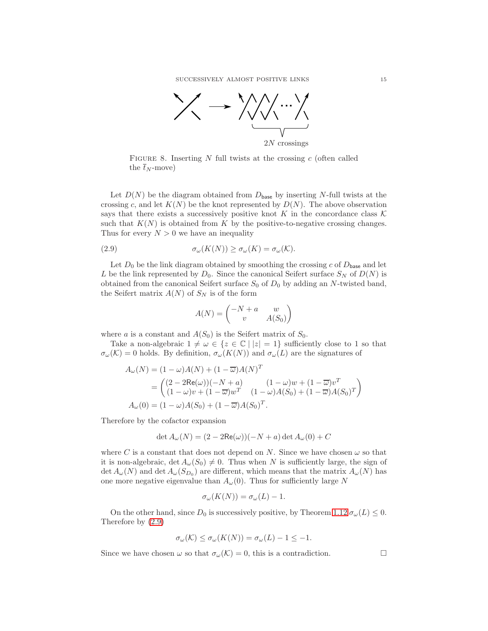

<span id="page-14-0"></span>FIGURE 8. Inserting  $N$  full twists at the crossing  $c$  (often called the  $\bar{t}_N$ -move)

Let  $D(N)$  be the diagram obtained from  $D_{base}$  by inserting N-full twists at the crossing c, and let  $K(N)$  be the knot represented by  $D(N)$ . The above observation says that there exists a successively positive knot K in the concordance class  $\mathcal K$ such that  $K(N)$  is obtained from K by the positive-to-negative crossing changes. Thus for every  $N > 0$  we have an inequality

(2.9) 
$$
\sigma_{\omega}(K(N)) \geq \sigma_{\omega}(K) = \sigma_{\omega}(\mathcal{K}).
$$

Let  $D_0$  be the link diagram obtained by smoothing the crossing c of  $D_{base}$  and let L be the link represented by  $D_0$ . Since the canonical Seifert surface  $S_N$  of  $D(N)$  is obtained from the canonical Seifert surface  $S_0$  of  $D_0$  by adding an N-twisted band, the Seifert matrix  $A(N)$  of  $S_N$  is of the form

<span id="page-14-1"></span>
$$
A(N) = \begin{pmatrix} -N + a & w \\ v & A(S_0) \end{pmatrix}
$$

where a is a constant and  $A(S_0)$  is the Seifert matrix of  $S_0$ .

Take a non-algebraic  $1 \neq \omega \in \{z \in \mathbb{C} \mid |z| = 1\}$  sufficiently close to 1 so that  $\sigma_{\omega}(\mathcal{K})=0$  holds. By definition,  $\sigma_{\omega}(K(N))$  and  $\sigma_{\omega}(L)$  are the signatures of

$$
A_{\omega}(N) = (1 - \omega)A(N) + (1 - \overline{\omega})A(N)^{T}
$$
  
= 
$$
\begin{pmatrix} (2 - 2\text{Re}(\omega))(-N + a) & (1 - \omega)w + (1 - \overline{\omega})v^{T} \\ (1 - \omega)v + (1 - \overline{\omega})w^{T} & (1 - \omega)A(S_{0}) + (1 - \overline{\omega})A(S_{0})^{T} \end{pmatrix}
$$
  

$$
A_{\omega}(0) = (1 - \omega)A(S_{0}) + (1 - \overline{\omega})A(S_{0})^{T}.
$$

Therefore by the cofactor expansion

$$
\det A_{\omega}(N) = (2 - 2\text{Re}(\omega))(-N + a)\det A_{\omega}(0) + C
$$

where C is a constant that does not depend on N. Since we have chosen  $\omega$  so that it is non-algebraic,  $\det A_{\omega}(S_0) \neq 0$ . Thus when N is sufficiently large, the sign of  $\det A_{\omega}(N)$  and  $\det A_{\omega}(S_{D_0})$  are different, which means that the matrix  $A_{\omega}(N)$  has one more negative eigenvalue than  $A_{\omega}(0)$ . Thus for sufficiently large N

$$
\sigma_{\omega}(K(N)) = \sigma_{\omega}(L) - 1.
$$

On the other hand, since  $D_0$  is successively positive, by Theorem [1.12](#page-3-4)  $\sigma_\omega(L) \leq 0$ . Therefore by [\(2.9\)](#page-14-1)

$$
\sigma_{\omega}(\mathcal{K}) \le \sigma_{\omega}(K(N)) = \sigma_{\omega}(L) - 1 \le -1.
$$

Since we have chosen  $\omega$  so that  $\sigma_{\omega}(\mathcal{K}) = 0$ , this is a contradiction.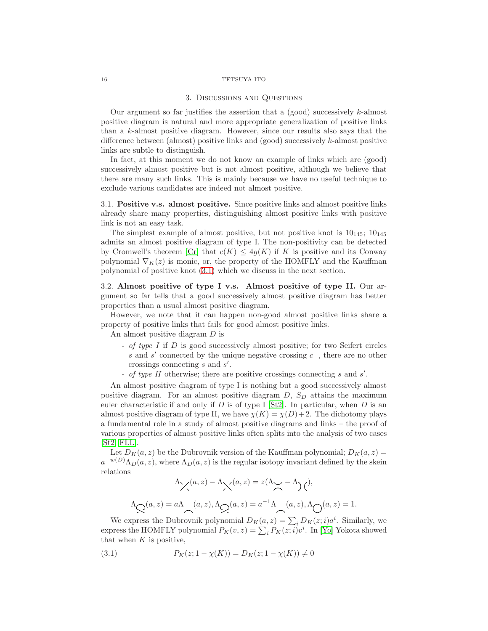#### 3. Discussions and Questions

Our argument so far justifies the assertion that a (good) successively k-almost positive diagram is natural and more appropriate generalization of positive links than a k-almost positive diagram. However, since our results also says that the difference between (almost) positive links and (good) successively  $k$ -almost positive links are subtle to distinguish.

In fact, at this moment we do not know an example of links which are (good) successively almost positive but is not almost positive, although we believe that there are many such links. This is mainly because we have no useful technique to exclude various candidates are indeed not almost positive.

3.1. Positive v.s. almost positive. Since positive links and almost positive links already share many properties, distinguishing almost positive links with positive link is not an easy task.

The simplest example of almost positive, but not positive knot is  $10_{145}$ ;  $10_{145}$ admits an almost positive diagram of type I. The non-positivity can be detected by Cromwell's theorem [\[Cr\]](#page-19-1) that  $c(K) \leq 4q(K)$  if K is positive and its Conway polynomial  $\nabla_K(z)$  is monic, or, the property of the HOMFLY and the Kauffman polynomial of positive knot [\(3.1\)](#page-15-0) which we discuss in the next section.

3.2. Almost positive of type I v.s. Almost positive of type II. Our argument so far tells that a good successively almost positive diagram has better properties than a usual almost positive diagram.

However, we note that it can happen non-good almost positive links share a property of positive links that fails for good almost positive links.

An almost positive diagram D is

- of type I if D is good successively almost positive; for two Seifert circles s and s' connected by the unique negative crossing c<sub>−</sub>, there are no other crossings connecting  $s$  and  $s'$ .
- of type II otherwise; there are positive crossings connecting  $s$  and  $s'$ .

An almost positive diagram of type I is nothing but a good successively almost positive diagram. For an almost positive diagram  $D$ ,  $S_D$  attains the maximum euler characteristic if and only if D is of type I [\[St2\]](#page-20-0). In particular, when D is an almost positive diagram of type II, we have  $\chi(K) = \chi(D) + 2$ . The dichotomy plays a fundamental role in a study of almost positive diagrams and links – the proof of various properties of almost positive links often splits into the analysis of two cases [\[St2,](#page-20-0) [FLL\]](#page-19-5).

Let  $D_K(a, z)$  be the Dubrovnik version of the Kauffman polynomial;  $D_K(a, z)$  =  $a^{-w(D)}\Lambda_D(a,z)$ , where  $\Lambda_D(a,z)$  is the regular isotopy invariant defined by the skein relations

$$
\Lambda \times (a, z) - \Lambda \times (a, z) = z(\Lambda \times - \Lambda) \tag{1}
$$
\n
$$
\Lambda \times (a, z) = a \Lambda \quad (a, z), \Lambda \times (a, z) = a^{-1} \Lambda \quad (a, z), \Lambda \times (a, z) = 1.
$$

We express the Dubrovnik polynomial  $D_K(a, z) = \sum_i D_K(z, i) a^i$ . Similarly, we express the HOMFLY polynomial  $P_K(v, z) = \sum_i P_K(z; i)v^i$ . In [\[Yo\]](#page-20-3) Yokota showed that when  $K$  is positive,

<span id="page-15-0"></span>(3.1) 
$$
P_K(z; 1 - \chi(K)) = D_K(z; 1 - \chi(K)) \neq 0
$$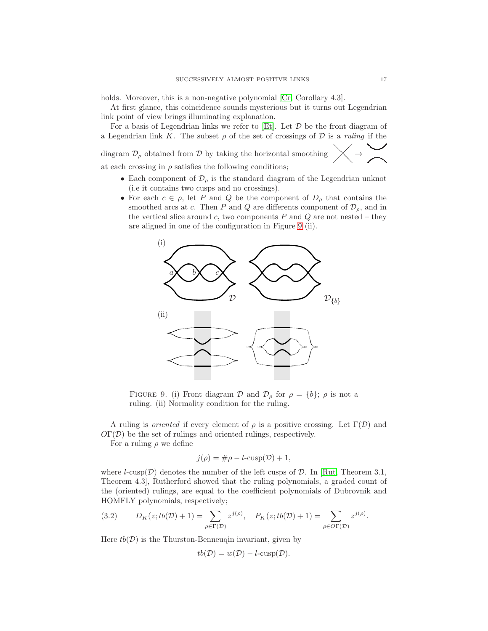holds. Moreover, this is a non-negative polynomial [\[Cr,](#page-19-1) Corollary 4.3].

At first glance, this coincidence sounds mysterious but it turns out Legendrian link point of view brings illuminating explanation.

For a basis of Legendrian links we refer to [\[Et\]](#page-19-13). Let  $D$  be the front diagram of a Legendrian link K. The subset  $\rho$  of the set of crossings of  $D$  is a *ruling* if the  $\searrow$ 

diagram $\mathcal{D}_{\rho}$  obtained from  $\mathcal D$  by taking the horizontal smoothing

at each crossing in  $\rho$  satisfies the following conditions;

- Each component of  $\mathcal{D}_{\rho}$  is the standard diagram of the Legendrian unknot (i.e it contains two cusps and no crossings).
- For each  $c \in \rho$ , let P and Q be the component of  $D_{\rho}$  that contains the smoothed arcs at c. Then P and Q are differents component of  $\mathcal{D}_{\rho}$ , and in the vertical slice around c, two components  $P$  and  $Q$  are not nested – they are aligned in one of the configuration in Figure [9](#page-16-0) (ii).



<span id="page-16-0"></span>FIGURE 9. (i) Front diagram D and  $\mathcal{D}_{\rho}$  for  $\rho = \{b\}; \rho$  is not a ruling. (ii) Normality condition for the ruling.

A ruling is *oriented* if every element of  $\rho$  is a positive crossing. Let  $\Gamma(\mathcal{D})$  and  $O\Gamma(\mathcal{D})$  be the set of rulings and oriented rulings, respectively.

For a ruling  $\rho$  we define

$$
j(\rho) = \# \rho - l\text{-cusp}(\mathcal{D}) + 1,
$$

where  $l$ -cusp( $\mathcal{D}$ ) denotes the number of the left cusps of  $\mathcal{D}$ . In [\[Rut,](#page-20-4) Theorem 3.1, Theorem 4.3], Rutherford showed that the ruling polynomials, a graded count of the (oriented) rulings, are equal to the coefficient polynomials of Dubrovnik and HOMFLY polynomials, respectively;

<span id="page-16-1"></span>(3.2) 
$$
D_K(z; tb(\mathcal{D}) + 1) = \sum_{\rho \in \Gamma(\mathcal{D})} z^{j(\rho)}, \quad P_K(z; tb(\mathcal{D}) + 1) = \sum_{\rho \in \text{OT}(\mathcal{D})} z^{j(\rho)}.
$$

Here  $tb(\mathcal{D})$  is the Thurston-Benneuqin invariant, given by

$$
tb(\mathcal{D}) = w(\mathcal{D}) - l\text{-cusp}(\mathcal{D}).
$$

❅❅  $\rightarrow$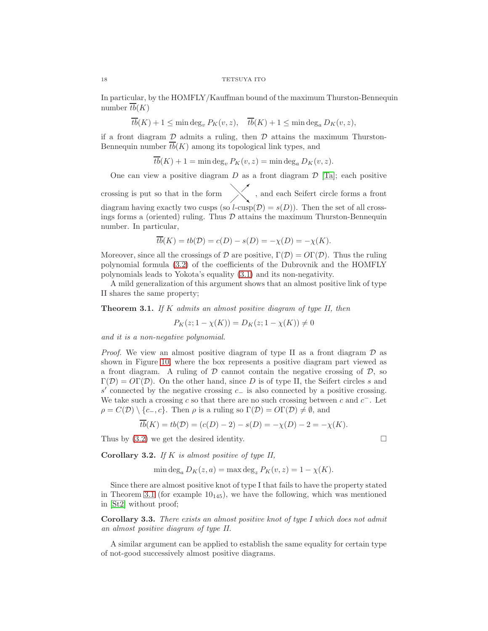In particular, by the HOMFLY/Kauffman bound of the maximum Thurston-Bennequin number  $\overline{tb}(K)$ 

$$
\overline{tb}(K) + 1 \le \min \deg_v P_K(v, z), \quad \overline{tb}(K) + 1 \le \min \deg_a D_K(v, z),
$$

if a front diagram  $\mathcal D$  admits a ruling, then  $\mathcal D$  attains the maximum Thurston-Bennequin number  $\overline{tb}(K)$  among its topological link types, and

 $\overline{tb}(K) + 1 = \min \deg_v P_K(v, z) = \min \deg_o D_K(v, z).$ 

One can view a positive diagram  $D$  as a front diagram  $D$  [\[Ta\]](#page-20-5); each positive crossing is put so that in the form  $\diagup$  , and each Seifert circle forms a front diagram having exactly two cusps (so  $l$ -cusp( $\mathcal{D}$ ) =  $s(D)$ ). Then the set of all crossings forms a (oriented) ruling. Thus  $\mathcal D$  attains the maximum Thurston-Bennequin number. In particular,

$$
\overline{tb}(K) = tb(\mathcal{D}) = c(D) - s(D) = -\chi(D) = -\chi(K).
$$

Moreover, since all the crossings of D are positive,  $\Gamma(\mathcal{D}) = \mathcal{O}\Gamma(\mathcal{D})$ . Thus the ruling polynomial formula [\(3.2\)](#page-16-1) of the coefficients of the Dubrovnik and the HOMFLY polynomials leads to Yokota's equality [\(3.1\)](#page-15-0) and its non-negativity.

A mild generalization of this argument shows that an almost positive link of type II shares the same property;

<span id="page-17-0"></span>**Theorem 3.1.** If K admits an almost positive diagram of type II, then

$$
P_K(z; 1 - \chi(K)) = D_K(z; 1 - \chi(K)) \neq 0
$$

and it is a non-negative polynomial.

*Proof.* We view an almost positive diagram of type II as a front diagram  $\mathcal D$  as shown in Figure [10,](#page-18-0) where the box represents a positive diagram part viewed as a front diagram. A ruling of  $D$  cannot contain the negative crossing of  $D$ , so  $\Gamma(\mathcal{D}) = \mathcal{O}\Gamma(\mathcal{D})$ . On the other hand, since D is of type II, the Seifert circles s and s' connected by the negative crossing c<sub>−</sub> is also connected by a positive crossing. We take such a crossing c so that there are no such crossing between c and  $c^-$ . Let  $\rho = C(\mathcal{D}) \setminus \{c_-, c\}$ . Then  $\rho$  is a ruling so  $\Gamma(\mathcal{D}) = \mathcal{O}\Gamma(\mathcal{D}) \neq \emptyset$ , and

$$
\overline{tb}(K) = tb(\mathcal{D}) = (c(D) - 2) - s(D) = -\chi(D) - 2 = -\chi(K).
$$

Thus by  $(3.2)$  we get the desired identity.

<span id="page-17-1"></span>Corollary 3.2. If  $K$  is almost positive of type II,

$$
\min \deg_a D_K(z, a) = \max \deg_z P_K(v, z) = 1 - \chi(K).
$$

Since there are almost positive knot of type I that fails to have the property stated in Theorem [3.1](#page-17-0) (for example  $10_{145}$ ), we have the following, which was mentioned in [\[St2\]](#page-20-0) without proof;

Corollary 3.3. There exists an almost positive knot of type I which does not admit an almost positive diagram of type II.

A similar argument can be applied to establish the same equality for certain type of not-good successively almost positive diagrams.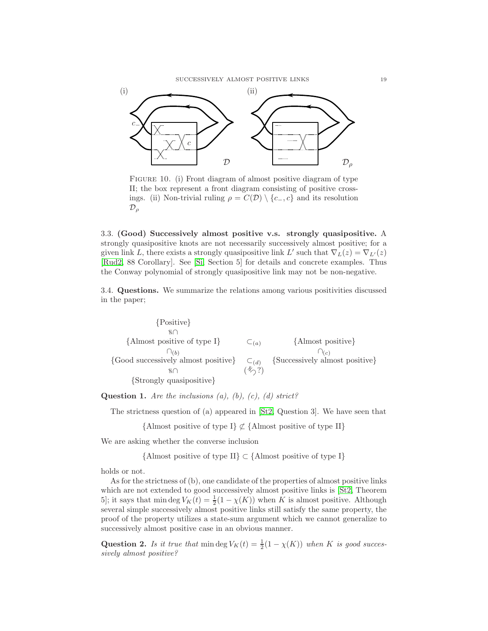

<span id="page-18-0"></span>FIGURE 10. (i) Front diagram of almost positive diagram of type II; the box represent a front diagram consisting of positive crossings. (ii) Non-trivial ruling  $\rho = C(\mathcal{D}) \setminus \{c_-, c\}$  and its resolution  $\mathcal{D}_{\rho}$ 

3.3. (Good) Successively almost positive v.s. strongly quasipositive. A strongly quasipositive knots are not necessarily successively almost positive; for a given link L, there exists a strongly quasipositive link L' such that  $\nabla_L(z) = \nabla_{L'}(z)$ [\[Rud2,](#page-19-14) 88 Corollary]. See [\[Si,](#page-20-6) Section 5] for details and concrete examples. Thus the Conway polynomial of strongly quasipositive link may not be non-negative.

3.4. Questions. We summarize the relations among various positivities discussed in the paper;

{Positive}  $\cap$ {Almost positive of type I}  $\subset_{(a)}$  {Almost positive}  $\bigcap_{(b)}$  $\bigcap_{(c)}$ {Good successively almost positive}  $\subset_{(d)}$  {Successively almost positive}  $\tag{$\ast$}$ {Strongly quasipositive}

**Question 1.** Are the inclusions  $(a)$ ,  $(b)$ ,  $(c)$ ,  $(d)$  strict?

The strictness question of (a) appeared in [\[St2,](#page-20-0) Question 3]. We have seen that

{Almost positive of type I}  $\not\subset$  {Almost positive of type II}

We are asking whether the converse inclusion

{Almost positive of type II} ⊂ {Almost positive of type I}

holds or not.

As for the strictness of (b), one candidate of the properties of almost positive links which are not extended to good successively almost positive links is [\[St2,](#page-20-0) Theorem 5]; it says that min deg  $V_K(t) = \frac{1}{2}(1 - \chi(K))$  when K is almost positive. Although several simple successively almost positive links still satisfy the same property, the proof of the property utilizes a state-sum argument which we cannot generalize to successively almost positive case in an obvious manner.

**Question 2.** Is it true that  $\min \deg V_K(t) = \frac{1}{2}(1 - \chi(K))$  when K is good successively almost positive?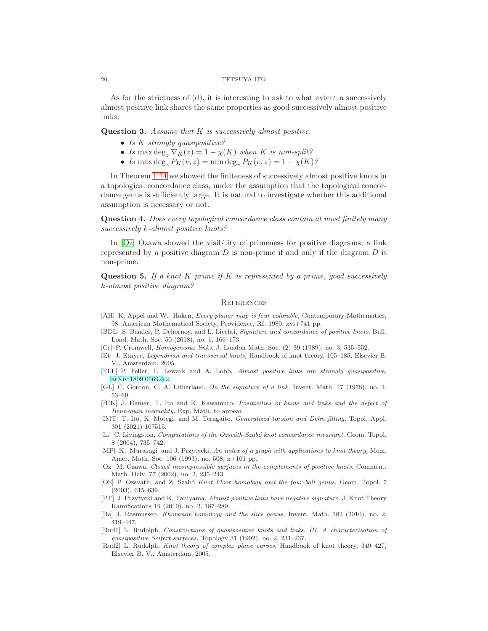As for the strictness of (d), it is interesting to ask to what extent a successively almost positive link shares the same properties as good successively almost positive links;

**Question 3.** Assume that  $K$  is successively almost positive.

- Is K strongly quasipositive?
- Is max deg<sub>z</sub>  $\nabla_K(z) = 1 \chi(K)$  when K is non-split?
- Is max deg<sub>z</sub>  $P_K(v, z) = \min \deg_v P_K(v, z) = 1 \chi(K)$ ?

In Theorem [1.14](#page-4-2) we showed the finiteness of successively almost positive knots in a topological concordance class, under the assumption that the topological concordance genus is sufficiently large. It is natural to investigate whether this additional assumption is necessary or not.

Question 4. Does every topological concordance class contain at most finitely many successively k-almost positive knots?

In [\[Oz\]](#page-19-15) Ozawa showed the visibility of primeness for positive diagrams; a link represented by a positive diagram  $D$  is non-prime if and only if the diagram  $D$  is non-prime.

**Question 5.** If a knot K prime if K is represented by a prime, good successively k-almost positive diagram?

#### **REFERENCES**

- <span id="page-19-12"></span>[AH] K. Appel and W. Haken, Every planar map is four colorable, Contemporary Mathematics, 98. American Mathematical Society, Providence, RI, 1989. xvi+741 pp.
- <span id="page-19-3"></span>[BDL] S. Baader, P. Dehornoy, and L. Liechti, Signature and concordance of positive knots. Bull. Lond. Math. Soc. 50 (2018), no. 1, 166–173.
- <span id="page-19-1"></span>[Cr] P. Cromwell, Homogeneous links, J. London Math. Soc. (2) 39 (1989), no. 3, 535–552.
- <span id="page-19-13"></span>[Et] J. Etnyre, Legendrian and transversal knots, Handbook of knot theory, 105–185, Elsevier B. V., Amsterdam, 2005.
- <span id="page-19-5"></span>[FLL] P. Feller, L. Lewark and A. Lobb, Almost positive links are strongly quasipositive, [arXiv:1809.06692v](http://arxiv.org/abs/1809.06692)2.
- <span id="page-19-11"></span>[GL] C. Gordon, C. A. Litherland, On the signature of a link, Invent. Math. 47 (1978), no. 1, 53–69.
- <span id="page-19-10"></span>[HIK] J. Hamer, T. Ito and K. Kawamuro, Positivities of knots and links and the defect of Bennequin inequality, Exp. Math. to appear.
- <span id="page-19-2"></span>[IMT] T. Ito, K. Motegi, and M. Teragaito, Generalized torsion and Dehn filling, Topol. Appl. 301 (2021) 107515.
- <span id="page-19-8"></span>[Li] C. Livingston, *Computations of the Ozsváth-Szabó knot concordance invariant*. Geom. Topol. 8 (2004), 735–742.
- <span id="page-19-9"></span>[MP] K. Murasugi and J. Przytycki, An index of a graph with applications to knot theory, Mem. Amer. Math. Soc. 106 (1993), no. 508, x+101 pp.
- <span id="page-19-15"></span>[Oz] M. Ozawa, Closed incompressible surfaces in the complements of positive knots. Comment. Math. Helv. 77 (2002), no. 2, 235–243.
- <span id="page-19-7"></span>[OS] P. Ozsváth, and Z. Szabó Knot Floer homology and the four-ball genus. Geom. Topol. 7 (2003), 615–639.
- <span id="page-19-0"></span>[PT] J. Przytycki and K. Taniyama, Almost positive links have negative signature. J. Knot Theory Ramifications 19 (2010), no. 2, 187–289.
- <span id="page-19-6"></span>[Ra] J. Rasmussen, Khovanov homology and the slice genus, Invent. Math. 182 (2010), no. 2, 419–447.
- <span id="page-19-4"></span>[Rud1] L. Rudolph, Constructions of quasipositive knots and links. III. A characterization of quasipositive Seifert surfaces, Topology 31 (1992), no. 2, 231–237.
- <span id="page-19-14"></span>[Rud2] L. Rudolph, Knot theory of complex plane curves, Handbook of knot theory, 349–427, Elsevier B. V., Amsterdam, 2005.